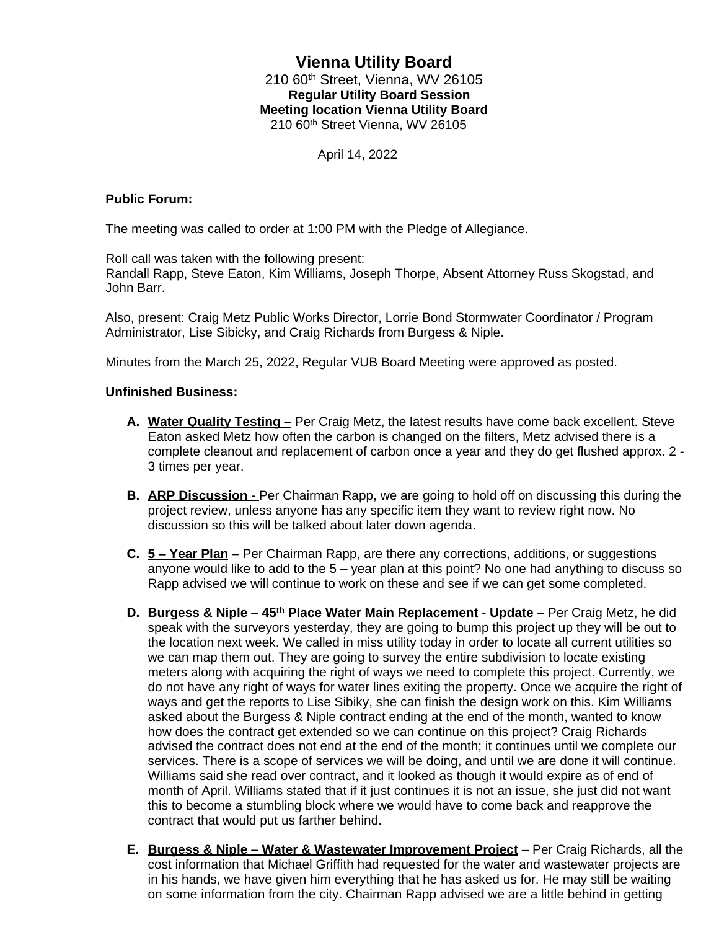# **Vienna Utility Board** 210 60th Street, Vienna, WV 26105 **Regular Utility Board Session Meeting location Vienna Utility Board** 210 60th Street Vienna, WV 26105

April 14, 2022

## **Public Forum:**

The meeting was called to order at 1:00 PM with the Pledge of Allegiance.

Roll call was taken with the following present:

Randall Rapp, Steve Eaton, Kim Williams, Joseph Thorpe, Absent Attorney Russ Skogstad, and John Barr.

Also, present: Craig Metz Public Works Director, Lorrie Bond Stormwater Coordinator / Program Administrator, Lise Sibicky, and Craig Richards from Burgess & Niple.

Minutes from the March 25, 2022, Regular VUB Board Meeting were approved as posted.

### **Unfinished Business:**

- **A. Water Quality Testing –** Per Craig Metz, the latest results have come back excellent. Steve Eaton asked Metz how often the carbon is changed on the filters, Metz advised there is a complete cleanout and replacement of carbon once a year and they do get flushed approx. 2 - 3 times per year.
- **B. ARP Discussion** Per Chairman Rapp, we are going to hold off on discussing this during the project review, unless anyone has any specific item they want to review right now. No discussion so this will be talked about later down agenda.
- **C. 5 – Year Plan** Per Chairman Rapp, are there any corrections, additions, or suggestions anyone would like to add to the 5 – year plan at this point? No one had anything to discuss so Rapp advised we will continue to work on these and see if we can get some completed.
- **D.** Burgess & Niple 45<sup>th</sup> Place Water Main Replacement Update Per Craig Metz, he did speak with the surveyors yesterday, they are going to bump this project up they will be out to the location next week. We called in miss utility today in order to locate all current utilities so we can map them out. They are going to survey the entire subdivision to locate existing meters along with acquiring the right of ways we need to complete this project. Currently, we do not have any right of ways for water lines exiting the property. Once we acquire the right of ways and get the reports to Lise Sibiky, she can finish the design work on this. Kim Williams asked about the Burgess & Niple contract ending at the end of the month, wanted to know how does the contract get extended so we can continue on this project? Craig Richards advised the contract does not end at the end of the month; it continues until we complete our services. There is a scope of services we will be doing, and until we are done it will continue. Williams said she read over contract, and it looked as though it would expire as of end of month of April. Williams stated that if it just continues it is not an issue, she just did not want this to become a stumbling block where we would have to come back and reapprove the contract that would put us farther behind.
- **E.** Burgess & Niple Water & Wastewater Improvement Project Per Craig Richards, all the cost information that Michael Griffith had requested for the water and wastewater projects are in his hands, we have given him everything that he has asked us for. He may still be waiting on some information from the city. Chairman Rapp advised we are a little behind in getting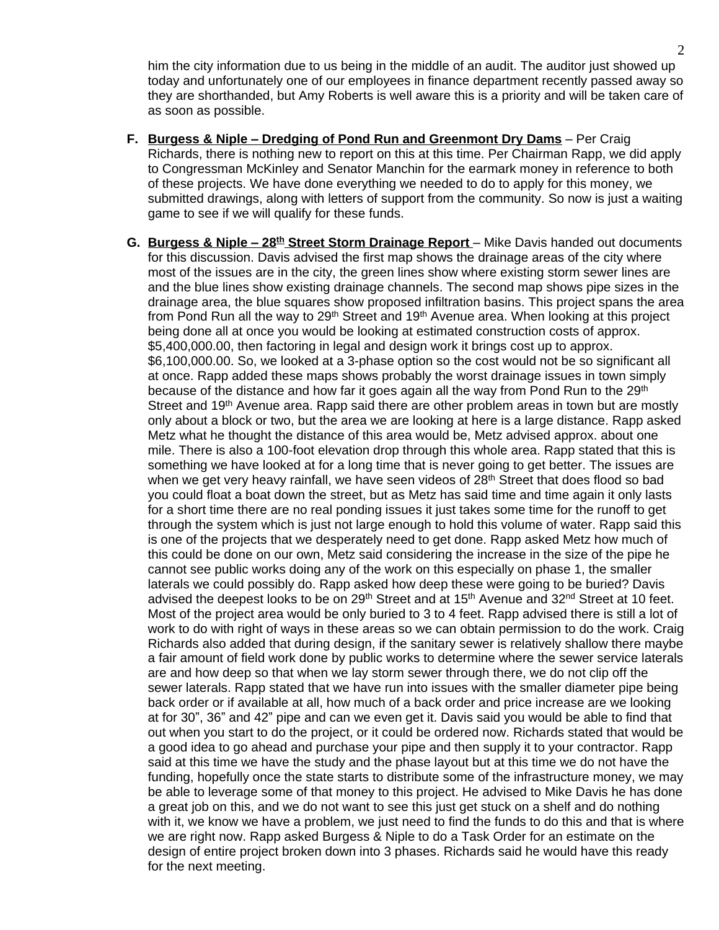him the city information due to us being in the middle of an audit. The auditor just showed up today and unfortunately one of our employees in finance department recently passed away so they are shorthanded, but Amy Roberts is well aware this is a priority and will be taken care of as soon as possible.

- **F. Burgess & Niple – Dredging of Pond Run and Greenmont Dry Dams** Per Craig Richards, there is nothing new to report on this at this time. Per Chairman Rapp, we did apply to Congressman McKinley and Senator Manchin for the earmark money in reference to both of these projects. We have done everything we needed to do to apply for this money, we submitted drawings, along with letters of support from the community. So now is just a waiting game to see if we will qualify for these funds.
- **G. Burgess & Niple – 28th Street Storm Drainage Report**  Mike Davis handed out documents for this discussion. Davis advised the first map shows the drainage areas of the city where most of the issues are in the city, the green lines show where existing storm sewer lines are and the blue lines show existing drainage channels. The second map shows pipe sizes in the drainage area, the blue squares show proposed infiltration basins. This project spans the area from Pond Run all the way to 29<sup>th</sup> Street and 19<sup>th</sup> Avenue area. When looking at this project being done all at once you would be looking at estimated construction costs of approx. \$5,400,000.00, then factoring in legal and design work it brings cost up to approx. \$6,100,000.00. So, we looked at a 3-phase option so the cost would not be so significant all at once. Rapp added these maps shows probably the worst drainage issues in town simply because of the distance and how far it goes again all the way from Pond Run to the 29<sup>th</sup> Street and 19<sup>th</sup> Avenue area. Rapp said there are other problem areas in town but are mostly only about a block or two, but the area we are looking at here is a large distance. Rapp asked Metz what he thought the distance of this area would be, Metz advised approx. about one mile. There is also a 100-foot elevation drop through this whole area. Rapp stated that this is something we have looked at for a long time that is never going to get better. The issues are when we get very heavy rainfall, we have seen videos of 28<sup>th</sup> Street that does flood so bad you could float a boat down the street, but as Metz has said time and time again it only lasts for a short time there are no real ponding issues it just takes some time for the runoff to get through the system which is just not large enough to hold this volume of water. Rapp said this is one of the projects that we desperately need to get done. Rapp asked Metz how much of this could be done on our own, Metz said considering the increase in the size of the pipe he cannot see public works doing any of the work on this especially on phase 1, the smaller laterals we could possibly do. Rapp asked how deep these were going to be buried? Davis advised the deepest looks to be on 29<sup>th</sup> Street and at 15<sup>th</sup> Avenue and 32<sup>nd</sup> Street at 10 feet. Most of the project area would be only buried to 3 to 4 feet. Rapp advised there is still a lot of work to do with right of ways in these areas so we can obtain permission to do the work. Craig Richards also added that during design, if the sanitary sewer is relatively shallow there maybe a fair amount of field work done by public works to determine where the sewer service laterals are and how deep so that when we lay storm sewer through there, we do not clip off the sewer laterals. Rapp stated that we have run into issues with the smaller diameter pipe being back order or if available at all, how much of a back order and price increase are we looking at for 30", 36" and 42" pipe and can we even get it. Davis said you would be able to find that out when you start to do the project, or it could be ordered now. Richards stated that would be a good idea to go ahead and purchase your pipe and then supply it to your contractor. Rapp said at this time we have the study and the phase layout but at this time we do not have the funding, hopefully once the state starts to distribute some of the infrastructure money, we may be able to leverage some of that money to this project. He advised to Mike Davis he has done a great job on this, and we do not want to see this just get stuck on a shelf and do nothing with it, we know we have a problem, we just need to find the funds to do this and that is where we are right now. Rapp asked Burgess & Niple to do a Task Order for an estimate on the design of entire project broken down into 3 phases. Richards said he would have this ready for the next meeting.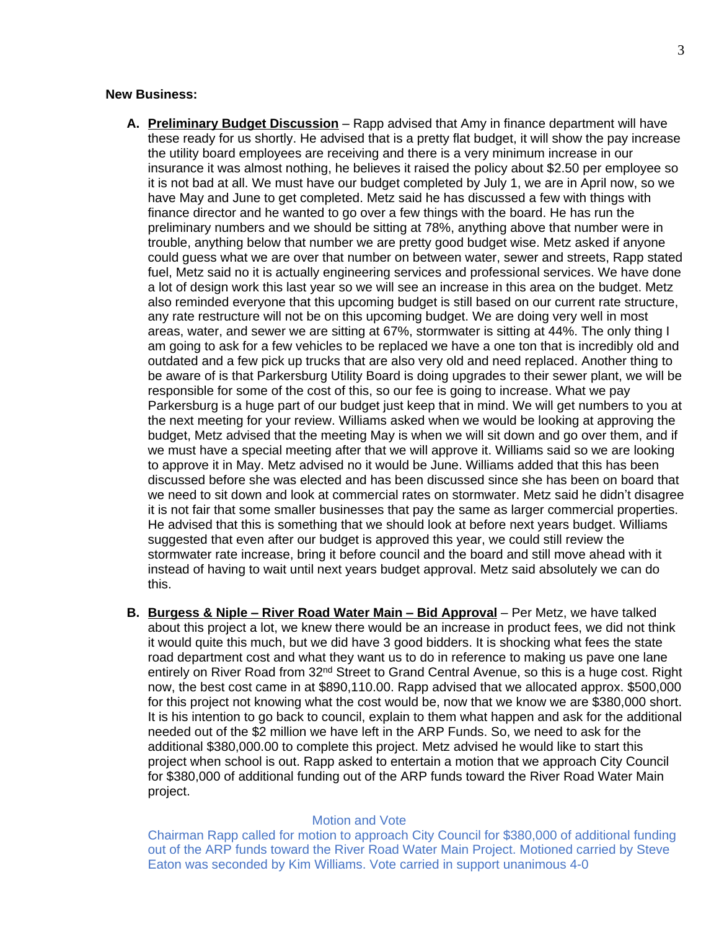#### **New Business:**

- **A. Preliminary Budget Discussion** Rapp advised that Amy in finance department will have these ready for us shortly. He advised that is a pretty flat budget, it will show the pay increase the utility board employees are receiving and there is a very minimum increase in our insurance it was almost nothing, he believes it raised the policy about \$2.50 per employee so it is not bad at all. We must have our budget completed by July 1, we are in April now, so we have May and June to get completed. Metz said he has discussed a few with things with finance director and he wanted to go over a few things with the board. He has run the preliminary numbers and we should be sitting at 78%, anything above that number were in trouble, anything below that number we are pretty good budget wise. Metz asked if anyone could guess what we are over that number on between water, sewer and streets, Rapp stated fuel, Metz said no it is actually engineering services and professional services. We have done a lot of design work this last year so we will see an increase in this area on the budget. Metz also reminded everyone that this upcoming budget is still based on our current rate structure, any rate restructure will not be on this upcoming budget. We are doing very well in most areas, water, and sewer we are sitting at 67%, stormwater is sitting at 44%. The only thing I am going to ask for a few vehicles to be replaced we have a one ton that is incredibly old and outdated and a few pick up trucks that are also very old and need replaced. Another thing to be aware of is that Parkersburg Utility Board is doing upgrades to their sewer plant, we will be responsible for some of the cost of this, so our fee is going to increase. What we pay Parkersburg is a huge part of our budget just keep that in mind. We will get numbers to you at the next meeting for your review. Williams asked when we would be looking at approving the budget, Metz advised that the meeting May is when we will sit down and go over them, and if we must have a special meeting after that we will approve it. Williams said so we are looking to approve it in May. Metz advised no it would be June. Williams added that this has been discussed before she was elected and has been discussed since she has been on board that we need to sit down and look at commercial rates on stormwater. Metz said he didn't disagree it is not fair that some smaller businesses that pay the same as larger commercial properties. He advised that this is something that we should look at before next years budget. Williams suggested that even after our budget is approved this year, we could still review the stormwater rate increase, bring it before council and the board and still move ahead with it instead of having to wait until next years budget approval. Metz said absolutely we can do this.
- **B.** Burgess & Niple River Road Water Main Bid Approval Per Metz, we have talked about this project a lot, we knew there would be an increase in product fees, we did not think it would quite this much, but we did have 3 good bidders. It is shocking what fees the state road department cost and what they want us to do in reference to making us pave one lane entirely on River Road from 32<sup>nd</sup> Street to Grand Central Avenue, so this is a huge cost. Right now, the best cost came in at \$890,110.00. Rapp advised that we allocated approx. \$500,000 for this project not knowing what the cost would be, now that we know we are \$380,000 short. It is his intention to go back to council, explain to them what happen and ask for the additional needed out of the \$2 million we have left in the ARP Funds. So, we need to ask for the additional \$380,000.00 to complete this project. Metz advised he would like to start this project when school is out. Rapp asked to entertain a motion that we approach City Council for \$380,000 of additional funding out of the ARP funds toward the River Road Water Main project.

### Motion and Vote

Chairman Rapp called for motion to approach City Council for \$380,000 of additional funding out of the ARP funds toward the River Road Water Main Project. Motioned carried by Steve Eaton was seconded by Kim Williams. Vote carried in support unanimous 4-0